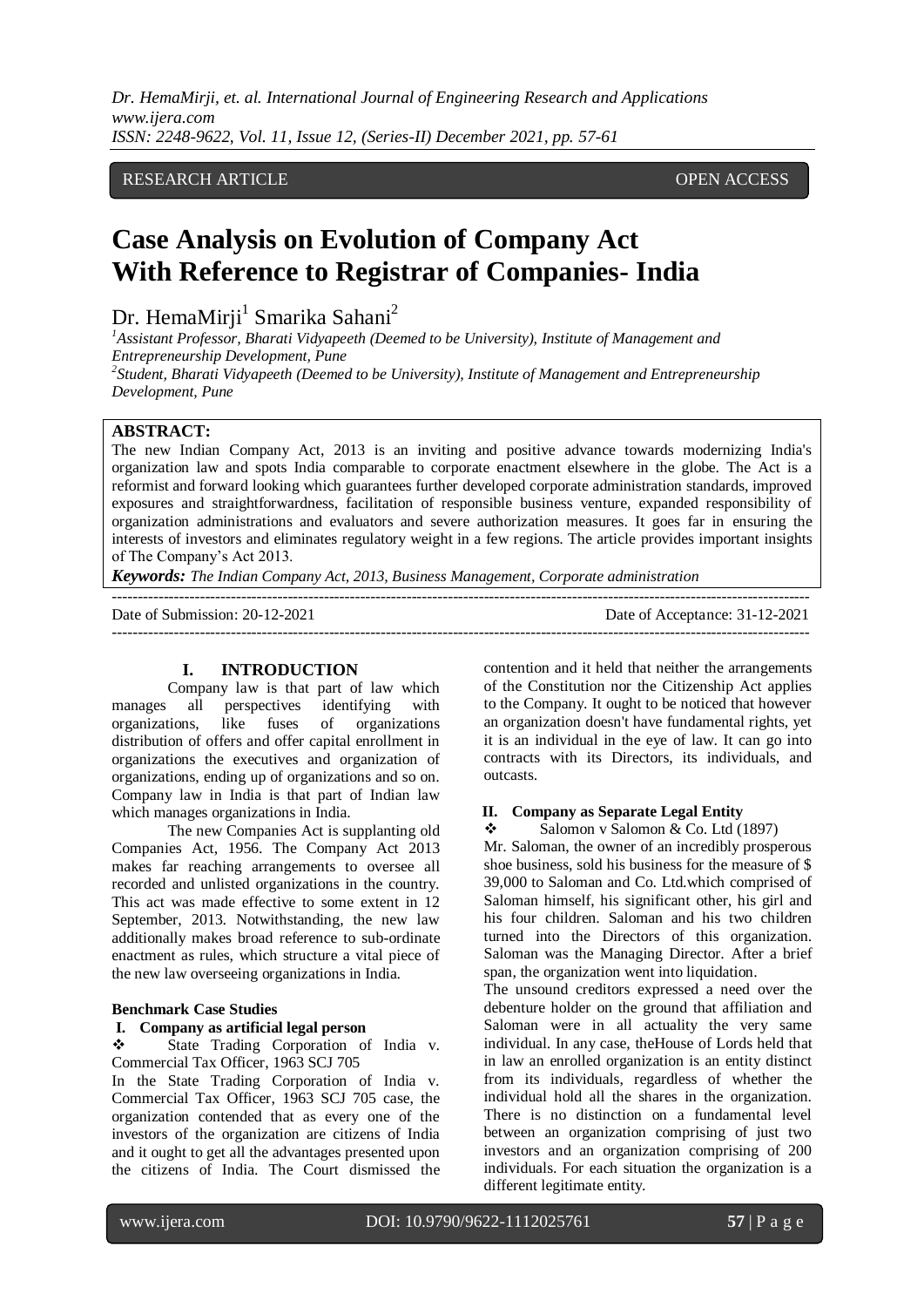*Dr. HemaMirji, et. al. International Journal of Engineering Research and Applications www.ijera.com ISSN: 2248-9622, Vol. 11, Issue 12, (Series-II) December 2021, pp. 57-61*

# RESEARCH ARTICLE OPEN ACCESS

# **Case Analysis on Evolution of Company Act With Reference to Registrar of Companies- India**

Dr. HemaMirji<sup>1</sup> Smarika Sahani<sup>2</sup>

*<sup>1</sup>Assistant Professor, Bharati Vidyapeeth (Deemed to be University), Institute of Management and Entrepreneurship Development, Pune*

*2 Student, Bharati Vidyapeeth (Deemed to be University), Institute of Management and Entrepreneurship Development, Pune*

# **ABSTRACT:**

The new Indian Company Act, 2013 is an inviting and positive advance towards modernizing India's organization law and spots India comparable to corporate enactment elsewhere in the globe. The Act is a reformist and forward looking which guarantees further developed corporate administration standards, improved exposures and straightforwardness, facilitation of responsible business venture, expanded responsibility of organization administrations and evaluators and severe authorization measures. It goes far in ensuring the interests of investors and eliminates regulatory weight in a few regions. The article provides important insights of The Company's Act 2013.

 $-1.1$ 

*Keywords: The Indian Company Act, 2013, Business Management, Corporate administration*

Date of Submission: 20-12-2021 Date of Acceptance: 31-12-2021

---------------------------------------------------------------------------------------------------------------------------------------

# **I. INTRODUCTION**

Company law is that part of law which manages all perspectives identifying with organizations, like fuses of organizations distribution of offers and offer capital enrollment in organizations the executives and organization of organizations, ending up of organizations and so on. Company law in India is that part of Indian law which manages organizations in India.

The new Companies Act is supplanting old Companies Act, 1956. The Company Act 2013 makes far reaching arrangements to oversee all recorded and unlisted organizations in the country. This act was made effective to some extent in 12 September, 2013. Notwithstanding, the new law additionally makes broad reference to sub-ordinate enactment as rules, which structure a vital piece of the new law overseeing organizations in India.

#### **Benchmark Case Studies**

#### **I. Company as artificial legal person**

State Trading Corporation of India v. Commercial Tax Officer, 1963 SCJ 705

In the State Trading Corporation of India v. Commercial Tax Officer, 1963 SCJ 705 case, the organization contended that as every one of the investors of the organization are citizens of India and it ought to get all the advantages presented upon the citizens of India. The Court dismissed the contention and it held that neither the arrangements of the Constitution nor the Citizenship Act applies to the Company. It ought to be noticed that however an organization doesn't have fundamental rights, yet it is an individual in the eye of law. It can go into contracts with its Directors, its individuals, and outcasts.

#### **II. Company as Separate Legal Entity**

Salomon v Salomon & Co. Ltd (1897)

Mr. Saloman, the owner of an incredibly prosperous shoe business, sold his business for the measure of \$ 39,000 to Saloman and Co. Ltd.which comprised of Saloman himself, his significant other, his girl and his four children. Saloman and his two children turned into the Directors of this organization. Saloman was the Managing Director. After a brief span, the organization went into liquidation.

The unsound creditors expressed a need over the debenture holder on the ground that affiliation and Saloman were in all actuality the very same individual. In any case, theHouse of Lords held that in law an enrolled organization is an entity distinct from its individuals, regardless of whether the individual hold all the shares in the organization. There is no distinction on a fundamental level between an organization comprising of just two investors and an organization comprising of 200 individuals. For each situation the organization is a different legitimate entity.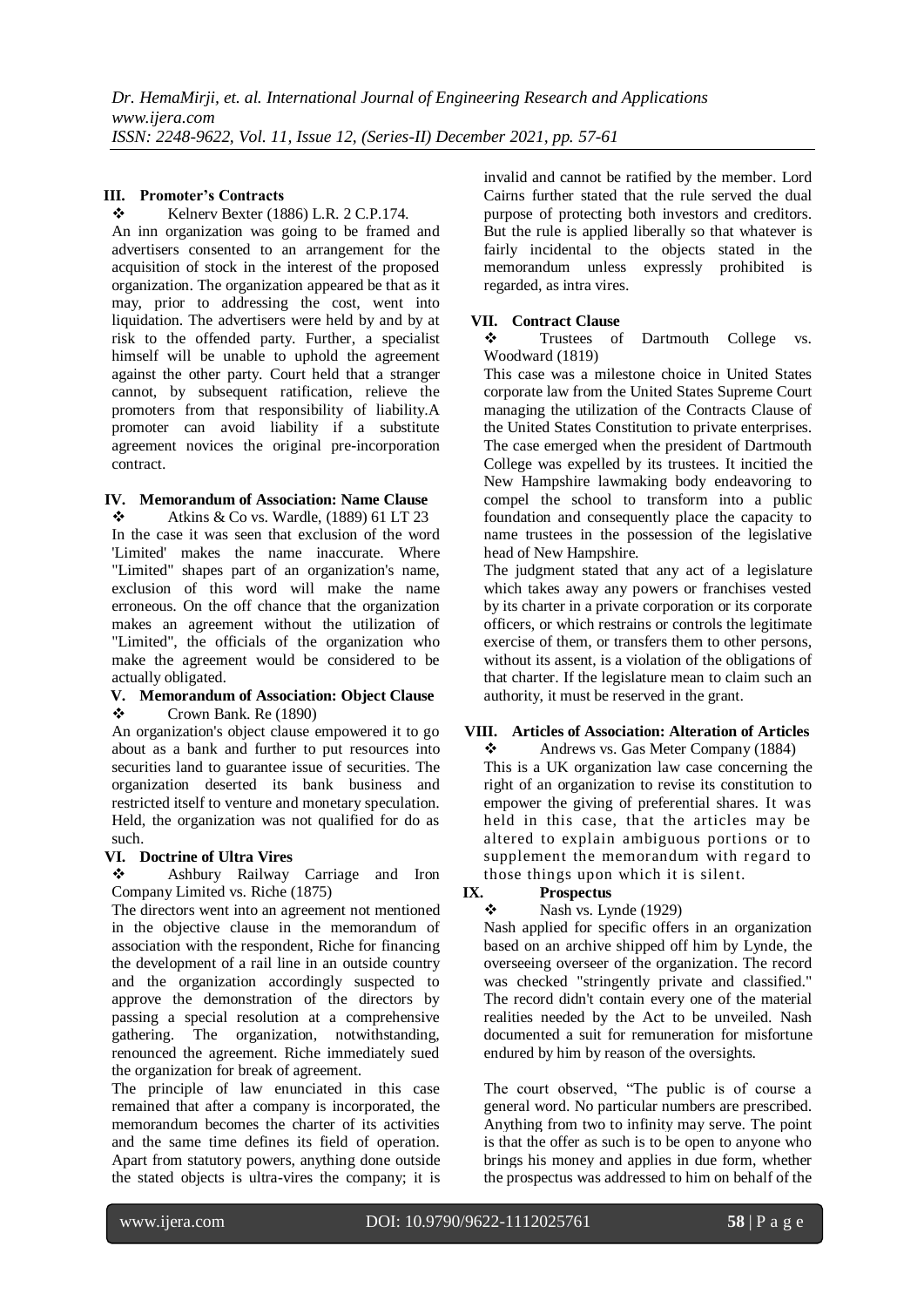# **III. Promoter's Contracts**

 $\div$  Kelnerv Bexter (1886) L.R. 2 C.P.174. An inn organization was going to be framed and advertisers consented to an arrangement for the acquisition of stock in the interest of the proposed organization. The organization appeared be that as it may, prior to addressing the cost, went into liquidation. The advertisers were held by and by at risk to the offended party. Further, a specialist himself will be unable to uphold the agreement against the other party. Court held that a stranger cannot, by subsequent ratification, relieve the promoters from that responsibility of liability.A promoter can avoid liability if a substitute agreement novices the original pre-incorporation contract.

# **IV. Memorandum of Association: Name Clause**

 $\triangle$  Atkins & Co vs. Wardle, (1889) 61 LT 23 In the case it was seen that exclusion of the word 'Limited' makes the name inaccurate. Where "Limited" shapes part of an organization's name, exclusion of this word will make the name erroneous. On the off chance that the organization makes an agreement without the utilization of "Limited", the officials of the organization who make the agreement would be considered to be actually obligated.

### **V. Memorandum of Association: Object Clause**  $\div$  Crown Bank. Re (1890)

An organization's object clause empowered it to go about as a bank and further to put resources into securities land to guarantee issue of securities. The organization deserted its bank business and restricted itself to venture and monetary speculation. Held, the organization was not qualified for do as such.

# **VI. Doctrine of Ultra Vires**

 Ashbury Railway Carriage and Iron Company Limited vs. Riche (1875)

The directors went into an agreement not mentioned in the objective clause in the memorandum of association with the respondent, Riche for financing the development of a rail line in an outside country and the organization accordingly suspected to approve the demonstration of the directors by passing a special resolution at a comprehensive gathering. The organization, notwithstanding, renounced the agreement. Riche immediately sued the organization for break of agreement.

The principle of law enunciated in this case remained that after a company is incorporated, the memorandum becomes the charter of its activities and the same time defines its field of operation. Apart from statutory powers, anything done outside the stated objects is ultra-vires the company; it is invalid and cannot be ratified by the member. Lord Cairns further stated that the rule served the dual purpose of protecting both investors and creditors. But the rule is applied liberally so that whatever is fairly incidental to the objects stated in the memorandum unless expressly prohibited is regarded, as intra vires.

# **VII. Contract Clause**

 Trustees of Dartmouth College vs. Woodward (1819)

This case was a milestone choice in United States corporate law from the United States Supreme Court managing the utilization of the Contracts Clause of the United States Constitution to private enterprises. The case emerged when the president of Dartmouth College was expelled by its trustees. It incitied the New Hampshire lawmaking body endeavoring to compel the school to transform into a public foundation and consequently place the capacity to name trustees in the possession of the legislative head of New Hampshire.

The judgment stated that any act of a legislature which takes away any powers or franchises vested by its charter in a private corporation or its corporate officers, or which restrains or controls the legitimate exercise of them, or transfers them to other persons, without its assent, is a violation of the obligations of that charter. If the legislature mean to claim such an authority, it must be reserved in the grant.

# **VIII. Articles of Association: Alteration of Articles**

 Andrews vs. Gas Meter Company (1884) This is a UK organization law case concerning the right of an organization to revise its constitution to empower the giving of preferential shares. It was held in this case, that the articles may be altered to explain ambiguous portions or to supplement the memorandum with regard to those things upon which it is silent.

**IX. Prospectus**<br>  $\mathbf{A}$ **S** Nash vs. Lynde (1929)

Nash applied for specific offers in an organization based on an archive shipped off him by Lynde, the overseeing overseer of the organization. The record was checked "stringently private and classified." The record didn't contain every one of the material realities needed by the Act to be unveiled. Nash documented a suit for remuneration for misfortune endured by him by reason of the oversights.

The court observed, "The public is of course a general word. No particular numbers are prescribed. Anything from two to infinity may serve. The point is that the offer as such is to be open to anyone who brings his money and applies in due form, whether the prospectus was addressed to him on behalf of the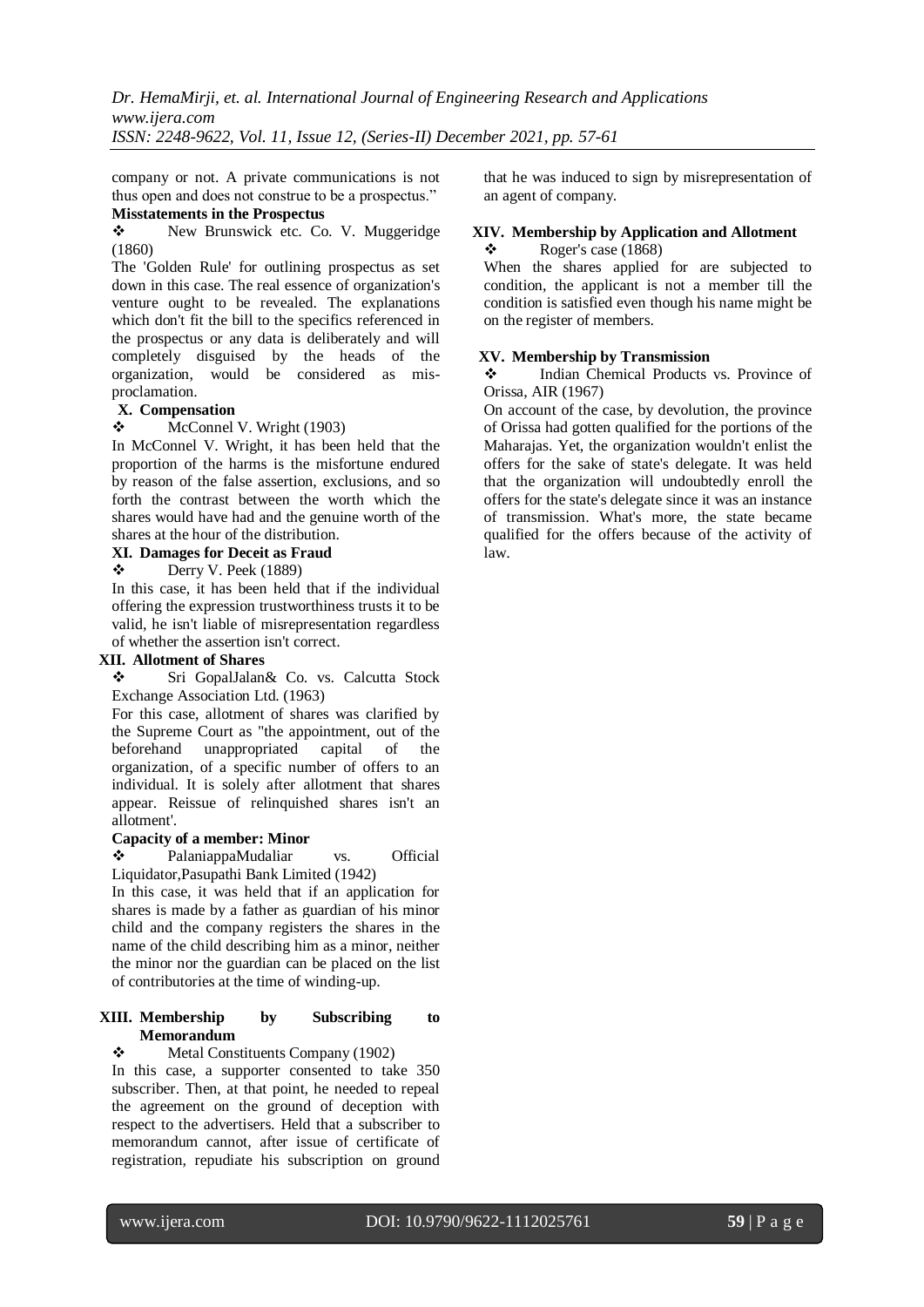*Dr. HemaMirji, et. al. International Journal of Engineering Research and Applications www.ijera.com ISSN: 2248-9622, Vol. 11, Issue 12, (Series-II) December 2021, pp. 57-61*

company or not. A private communications is not thus open and does not construe to be a prospectus." **Misstatements in the Prospectus**

\* New Brunswick etc. Co. V. Muggeridge (1860)

The 'Golden Rule' for outlining prospectus as set down in this case. The real essence of organization's venture ought to be revealed. The explanations which don't fit the bill to the specifics referenced in the prospectus or any data is deliberately and will completely disguised by the heads of the organization, would be considered as misproclamation.

#### **X. Compensation**

 $\div$  McConnel V. Wright (1903)

In McConnel V. Wright, it has been held that the proportion of the harms is the misfortune endured by reason of the false assertion, exclusions, and so forth the contrast between the worth which the shares would have had and the genuine worth of the shares at the hour of the distribution.

#### **XI. Damages for Deceit as Fraud**

 $\bullet$  Derry V. Peek (1889)

In this case, it has been held that if the individual offering the expression trustworthiness trusts it to be valid, he isn't liable of misrepresentation regardless of whether the assertion isn't correct.

### **XII. Allotment of Shares**

 Sri GopalJalan& Co. vs. Calcutta Stock Exchange Association Ltd. (1963)

For this case, allotment of shares was clarified by the Supreme Court as "the appointment, out of the beforehand unappropriated capital of the organization, of a specific number of offers to an individual. It is solely after allotment that shares appear. Reissue of relinquished shares isn't an allotment'.

# **Capacity of a member: Minor**

 PalaniappaMudaliar vs. Official Liquidator,Pasupathi Bank Limited (1942)

In this case, it was held that if an application for shares is made by a father as guardian of his minor child and the company registers the shares in the name of the child describing him as a minor, neither the minor nor the guardian can be placed on the list of contributories at the time of winding-up.

#### **XIII. Membership by Subscribing to Memorandum**

Metal Constituents Company (1902)

In this case, a supporter consented to take 350 subscriber. Then, at that point, he needed to repeal the agreement on the ground of deception with respect to the advertisers. Held that a subscriber to memorandum cannot, after issue of certificate of registration, repudiate his subscription on ground that he was induced to sign by misrepresentation of an agent of company.

#### **XIV. Membership by Application and Allotment**  $\div$  Roger's case (1868)

When the shares applied for are subjected to condition, the applicant is not a member till the condition is satisfied even though his name might be on the register of members.

#### **XV. Membership by Transmission**

 Indian Chemical Products vs. Province of Orissa, AIR (1967)

On account of the case, by devolution, the province of Orissa had gotten qualified for the portions of the Maharajas. Yet, the organization wouldn't enlist the offers for the sake of state's delegate. It was held that the organization will undoubtedly enroll the offers for the state's delegate since it was an instance of transmission. What's more, the state became qualified for the offers because of the activity of law.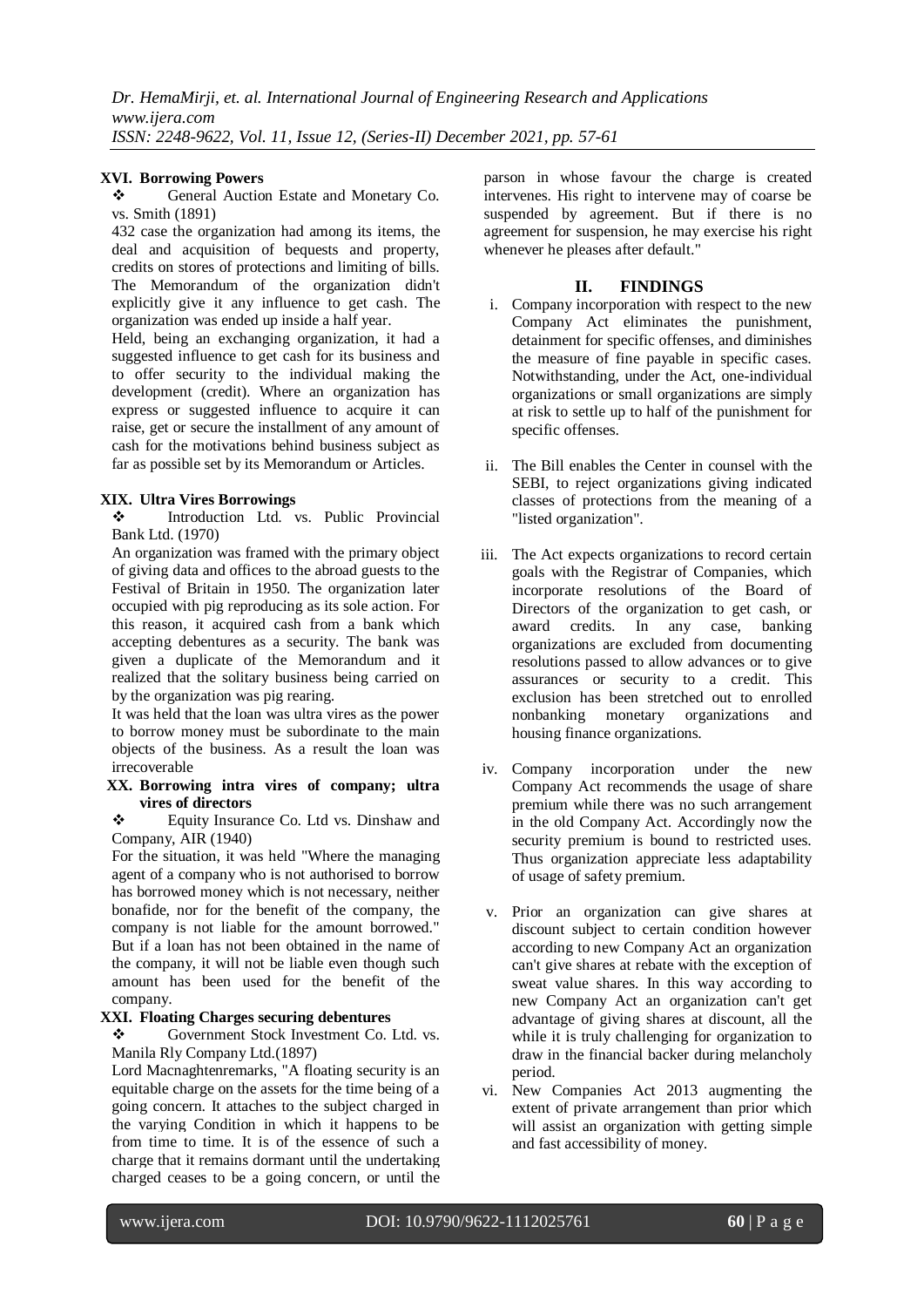## **XVI. Borrowing Powers**

\* General Auction Estate and Monetary Co. vs. Smith (1891)

432 case the organization had among its items, the deal and acquisition of bequests and property, credits on stores of protections and limiting of bills. The Memorandum of the organization didn't explicitly give it any influence to get cash. The organization was ended up inside a half year.

Held, being an exchanging organization, it had a suggested influence to get cash for its business and to offer security to the individual making the development (credit). Where an organization has express or suggested influence to acquire it can raise, get or secure the installment of any amount of cash for the motivations behind business subject as far as possible set by its Memorandum or Articles.

# **XIX. Ultra Vires Borrowings**

 Introduction Ltd. vs. Public Provincial Bank Ltd. (1970)

An organization was framed with the primary object of giving data and offices to the abroad guests to the Festival of Britain in 1950. The organization later occupied with pig reproducing as its sole action. For this reason, it acquired cash from a bank which accepting debentures as a security. The bank was given a duplicate of the Memorandum and it realized that the solitary business being carried on by the organization was pig rearing.

It was held that the loan was ultra vires as the power to borrow money must be subordinate to the main objects of the business. As a result the loan was irrecoverable

**XX. Borrowing intra vires of company; ultra vires of directors**

 Equity Insurance Co. Ltd vs. Dinshaw and Company, AIR (1940)

For the situation, it was held "Where the managing agent of a company who is not authorised to borrow has borrowed money which is not necessary, neither bonafide, nor for the benefit of the company, the company is not liable for the amount borrowed." But if a loan has not been obtained in the name of the company, it will not be liable even though such amount has been used for the benefit of the company.

### **XXI. Floating Charges securing debentures**

 Government Stock Investment Co. Ltd. vs. Manila Rly Company Ltd.(1897)

Lord Macnaghtenremarks, "A floating security is an equitable charge on the assets for the time being of a going concern. It attaches to the subject charged in the varying Condition in which it happens to be from time to time. It is of the essence of such a charge that it remains dormant until the undertaking charged ceases to be a going concern, or until the parson in whose favour the charge is created intervenes. His right to intervene may of coarse be suspended by agreement. But if there is no agreement for suspension, he may exercise his right whenever he pleases after default."

# **II. FINDINGS**

- i. Company incorporation with respect to the new Company Act eliminates the punishment, detainment for specific offenses, and diminishes the measure of fine payable in specific cases. Notwithstanding, under the Act, one-individual organizations or small organizations are simply at risk to settle up to half of the punishment for specific offenses.
- ii. The Bill enables the Center in counsel with the SEBI, to reject organizations giving indicated classes of protections from the meaning of a "listed organization".
- iii. The Act expects organizations to record certain goals with the Registrar of Companies, which incorporate resolutions of the Board of Directors of the organization to get cash, or award credits. In any case, banking organizations are excluded from documenting resolutions passed to allow advances or to give assurances or security to a credit. This exclusion has been stretched out to enrolled nonbanking monetary organizations and housing finance organizations.
- iv. Company incorporation under the new Company Act recommends the usage of share premium while there was no such arrangement in the old Company Act. Accordingly now the security premium is bound to restricted uses. Thus organization appreciate less adaptability of usage of safety premium.
- v. Prior an organization can give shares at discount subject to certain condition however according to new Company Act an organization can't give shares at rebate with the exception of sweat value shares. In this way according to new Company Act an organization can't get advantage of giving shares at discount, all the while it is truly challenging for organization to draw in the financial backer during melancholy period.
- vi. New Companies Act 2013 augmenting the extent of private arrangement than prior which will assist an organization with getting simple and fast accessibility of money.